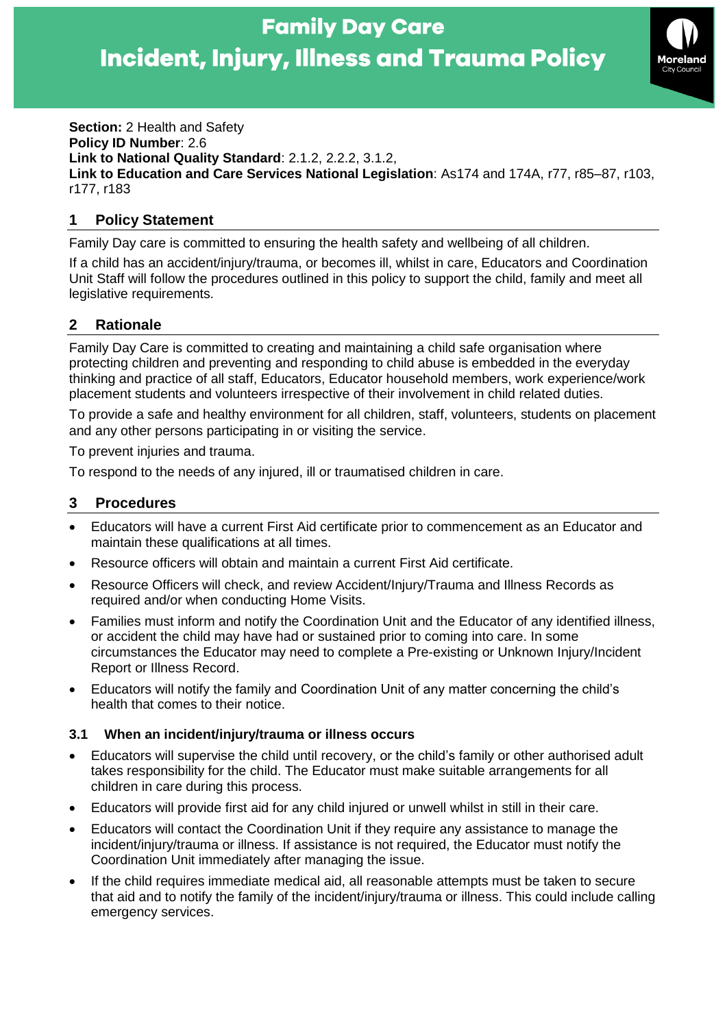

**Section:** 2 Health and Safety **Policy ID Number**: 2.6 **Link to National Quality Standard**: 2.1.2, 2.2.2, 3.1.2, **Link to Education and Care Services National Legislation**: As174 and 174A, r77, r85–87, r103, r177, r183

## **1 Policy Statement**

Family Day care is committed to ensuring the health safety and wellbeing of all children.

If a child has an accident/injury/trauma, or becomes ill, whilst in care, Educators and Coordination Unit Staff will follow the procedures outlined in this policy to support the child, family and meet all legislative requirements.

# **2 Rationale**

Family Day Care is committed to creating and maintaining a child safe organisation where protecting children and preventing and responding to child abuse is embedded in the everyday thinking and practice of all staff, Educators, Educator household members, work experience/work placement students and volunteers irrespective of their involvement in child related duties.

To provide a safe and healthy environment for all children, staff, volunteers, students on placement and any other persons participating in or visiting the service.

To prevent injuries and trauma.

To respond to the needs of any injured, ill or traumatised children in care.

### **3 Procedures**

- Educators will have a current First Aid certificate prior to commencement as an Educator and maintain these qualifications at all times.
- Resource officers will obtain and maintain a current First Aid certificate.
- Resource Officers will check, and review Accident/Injury/Trauma and Illness Records as required and/or when conducting Home Visits.
- Families must inform and notify the Coordination Unit and the Educator of any identified illness, or accident the child may have had or sustained prior to coming into care. In some circumstances the Educator may need to complete a Pre-existing or Unknown Injury/Incident Report or Illness Record.
- Educators will notify the family and Coordination Unit of any matter concerning the child's health that comes to their notice.

### **3.1 When an incident/injury/trauma or illness occurs**

- Educators will supervise the child until recovery, or the child's family or other authorised adult takes responsibility for the child. The Educator must make suitable arrangements for all children in care during this process.
- Educators will provide first aid for any child injured or unwell whilst in still in their care.
- Educators will contact the Coordination Unit if they require any assistance to manage the incident/injury/trauma or illness. If assistance is not required, the Educator must notify the Coordination Unit immediately after managing the issue.
- If the child requires immediate medical aid, all reasonable attempts must be taken to secure that aid and to notify the family of the incident/injury/trauma or illness. This could include calling emergency services.